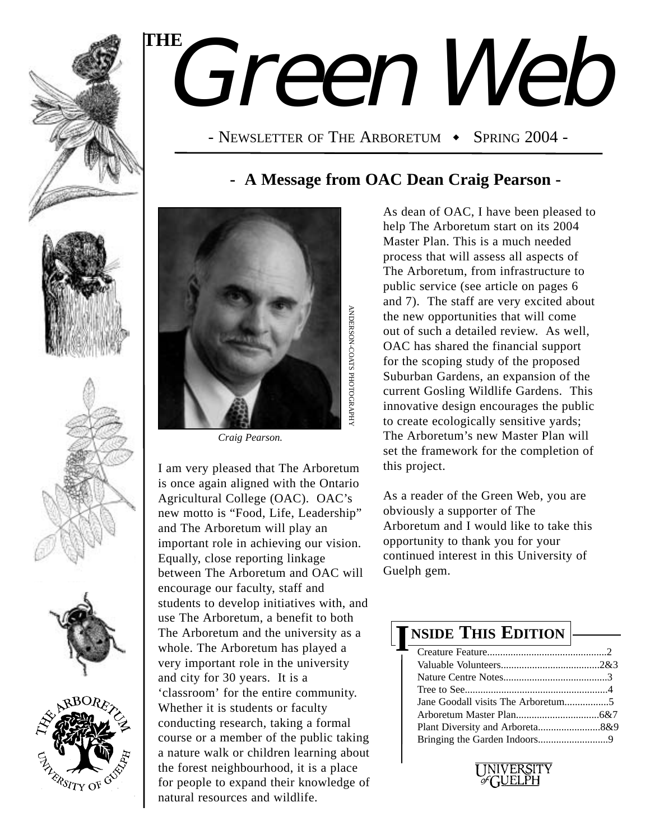

# Green Web **THE**

- NEWSLETTER OF THE ARBORETUM  $\bullet$  Spring 2004 -

### **- A Message from OAC Dean Craig Pearson -**



*Craig Pearson.*

I am very pleased that The Arboretum is once again aligned with the Ontario Agricultural College (OAC). OAC's new motto is "Food, Life, Leadership" and The Arboretum will play an important role in achieving our vision. Equally, close reporting linkage between The Arboretum and OAC will encourage our faculty, staff and students to develop initiatives with, and use The Arboretum, a benefit to both The Arboretum and the university as a whole. The Arboretum has played a very important role in the university and city for 30 years. It is a 'classroom' for the entire community. Whether it is students or faculty conducting research, taking a formal course or a member of the public taking a nature walk or children learning about the forest neighbourhood, it is a place for people to expand their knowledge of natural resources and wildlife.

As dean of OAC, I have been pleased to help The Arboretum start on its 2004 Master Plan. This is a much needed process that will assess all aspects of The Arboretum, from infrastructure to public service (see article on pages 6 and 7). The staff are very excited about the new opportunities that will come out of such a detailed review. As well, OAC has shared the financial support for the scoping study of the proposed Suburban Gardens, an expansion of the current Gosling Wildlife Gardens. This innovative design encourages the public to create ecologically sensitive yards; The Arboretum's new Master Plan will set the framework for the completion of this project.

As a reader of the Green Web, you are obviously a supporter of The Arboretum and I would like to take this opportunity to thank you for your continued interest in this University of Guelph gem.

## **NSIDE THIS EDITION I**

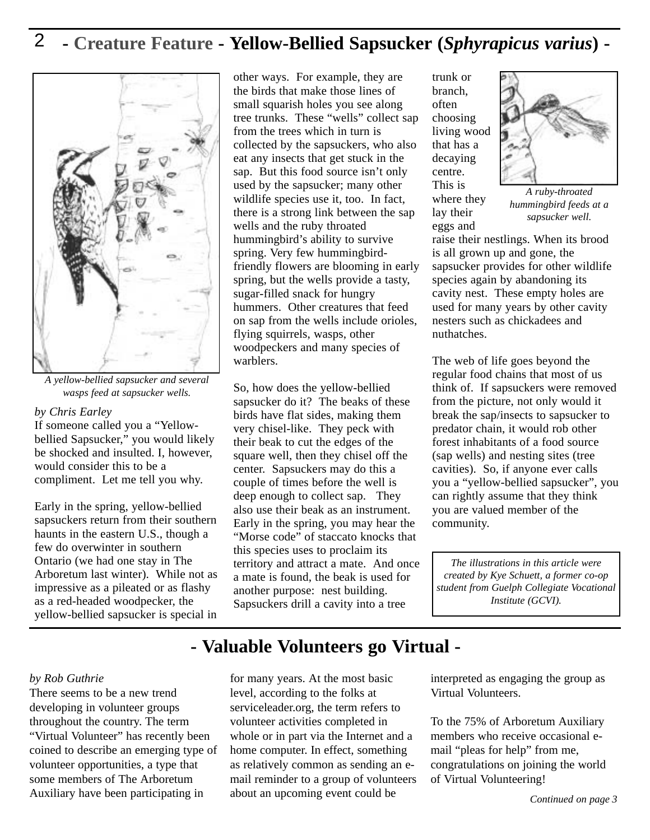### 2 **- Creature Feature - Yellow-Bellied Sapsucker (***Sphyrapicus varius***) -**



*A yellow-bellied sapsucker and several wasps feed at sapsucker wells.*

#### *by Chris Earley*

If someone called you a "Yellowbellied Sapsucker," you would likely be shocked and insulted. I, however, would consider this to be a compliment. Let me tell you why.

Early in the spring, yellow-bellied sapsuckers return from their southern haunts in the eastern U.S., though a few do overwinter in southern Ontario (we had one stay in The Arboretum last winter). While not as impressive as a pileated or as flashy as a red-headed woodpecker, the yellow-bellied sapsucker is special in

other ways. For example, they are the birds that make those lines of small squarish holes you see along tree trunks. These "wells" collect sap from the trees which in turn is collected by the sapsuckers, who also eat any insects that get stuck in the sap. But this food source isn't only used by the sapsucker; many other wildlife species use it, too. In fact, there is a strong link between the sap wells and the ruby throated hummingbird's ability to survive spring. Very few hummingbirdfriendly flowers are blooming in early spring, but the wells provide a tasty, sugar-filled snack for hungry hummers. Other creatures that feed on sap from the wells include orioles, flying squirrels, wasps, other woodpeckers and many species of warblers.

So, how does the yellow-bellied sapsucker do it? The beaks of these birds have flat sides, making them very chisel-like. They peck with their beak to cut the edges of the square well, then they chisel off the center. Sapsuckers may do this a couple of times before the well is deep enough to collect sap. They also use their beak as an instrument. Early in the spring, you may hear the "Morse code" of staccato knocks that this species uses to proclaim its territory and attract a mate. And once a mate is found, the beak is used for another purpose: nest building. Sapsuckers drill a cavity into a tree

trunk or branch, often choosing living wood that has a decaying centre. This is where they lay their eggs and



*A ruby-throated hummingbird feeds at a sapsucker well.*

raise their nestlings. When its brood is all grown up and gone, the sapsucker provides for other wildlife species again by abandoning its cavity nest. These empty holes are used for many years by other cavity nesters such as chickadees and nuthatches.

The web of life goes beyond the regular food chains that most of us think of. If sapsuckers were removed from the picture, not only would it break the sap/insects to sapsucker to predator chain, it would rob other forest inhabitants of a food source (sap wells) and nesting sites (tree cavities). So, if anyone ever calls you a "yellow-bellied sapsucker", you can rightly assume that they think you are valued member of the community.

*The illustrations in this article were created by Kye Schuett, a former co-op student from Guelph Collegiate Vocational Institute (GCVI).*

### **- Valuable Volunteers go Virtual -**

#### *by Rob Guthrie*

There seems to be a new trend developing in volunteer groups throughout the country. The term "Virtual Volunteer" has recently been coined to describe an emerging type of volunteer opportunities, a type that some members of The Arboretum Auxiliary have been participating in

for many years. At the most basic level, according to the folks at serviceleader.org, the term refers to volunteer activities completed in whole or in part via the Internet and a home computer. In effect, something as relatively common as sending an email reminder to a group of volunteers about an upcoming event could be

interpreted as engaging the group as Virtual Volunteers.

To the 75% of Arboretum Auxiliary members who receive occasional email "pleas for help" from me, congratulations on joining the world of Virtual Volunteering!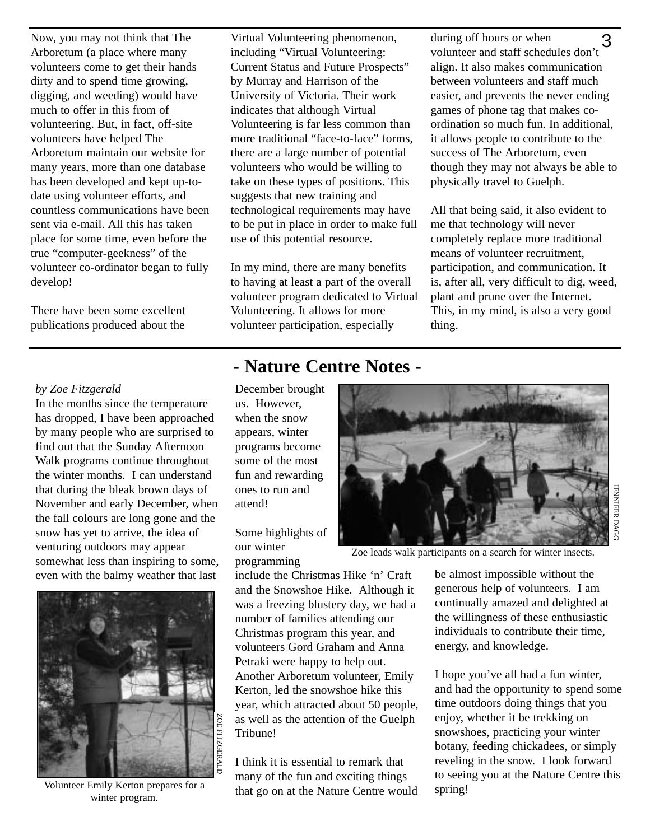Now, you may not think that The Arboretum (a place where many volunteers come to get their hands dirty and to spend time growing, digging, and weeding) would have much to offer in this from of volunteering. But, in fact, off-site volunteers have helped The Arboretum maintain our website for many years, more than one database has been developed and kept up-todate using volunteer efforts, and countless communications have been sent via e-mail. All this has taken place for some time, even before the true "computer-geekness" of the volunteer co-ordinator began to fully develop!

There have been some excellent publications produced about the

Virtual Volunteering phenomenon, including "Virtual Volunteering: Current Status and Future Prospects" by Murray and Harrison of the University of Victoria. Their work indicates that although Virtual Volunteering is far less common than more traditional "face-to-face" forms, there are a large number of potential volunteers who would be willing to take on these types of positions. This suggests that new training and technological requirements may have to be put in place in order to make full use of this potential resource.

In my mind, there are many benefits to having at least a part of the overall volunteer program dedicated to Virtual Volunteering. It allows for more volunteer participation, especially

during off hours or when volunteer and staff schedules don't align. It also makes communication between volunteers and staff much easier, and prevents the never ending games of phone tag that makes coordination so much fun. In additional, it allows people to contribute to the success of The Arboretum, even though they may not always be able to physically travel to Guelph. 3

All that being said, it also evident to me that technology will never completely replace more traditional means of volunteer recruitment, participation, and communication. It is, after all, very difficult to dig, weed, plant and prune over the Internet. This, in my mind, is also a very good thing.

#### *by Zoe Fitzgerald*

In the months since the temperature has dropped, I have been approached by many people who are surprised to find out that the Sunday Afternoon Walk programs continue throughout the winter months. I can understand that during the bleak brown days of November and early December, when the fall colours are long gone and the snow has yet to arrive, the idea of venturing outdoors may appear somewhat less than inspiring to some, even with the balmy weather that last



Volunteer Emily Kerton prepares for a winter program.

### **- Nature Centre Notes -**

December brought us. However, when the snow appears, winter programs become some of the most fun and rewarding ones to run and attend!

Some highlights of our winter

programming

include the Christmas Hike 'n' Craft and the Snowshoe Hike. Although it was a freezing blustery day, we had a number of families attending our Christmas program this year, and volunteers Gord Graham and Anna Petraki were happy to help out. Another Arboretum volunteer, Emily Kerton, led the snowshoe hike this year, which attracted about 50 people, as well as the attention of the Guelph Tribune!

I think it is essential to remark that many of the fun and exciting things that go on at the Nature Centre would



JENNIFER

DAGG

Zoe leads walk participants on a search for winter insects.

be almost impossible without the generous help of volunteers. I am continually amazed and delighted at the willingness of these enthusiastic individuals to contribute their time, energy, and knowledge.

I hope you've all had a fun winter, and had the opportunity to spend some time outdoors doing things that you enjoy, whether it be trekking on snowshoes, practicing your winter botany, feeding chickadees, or simply reveling in the snow. I look forward to seeing you at the Nature Centre this spring!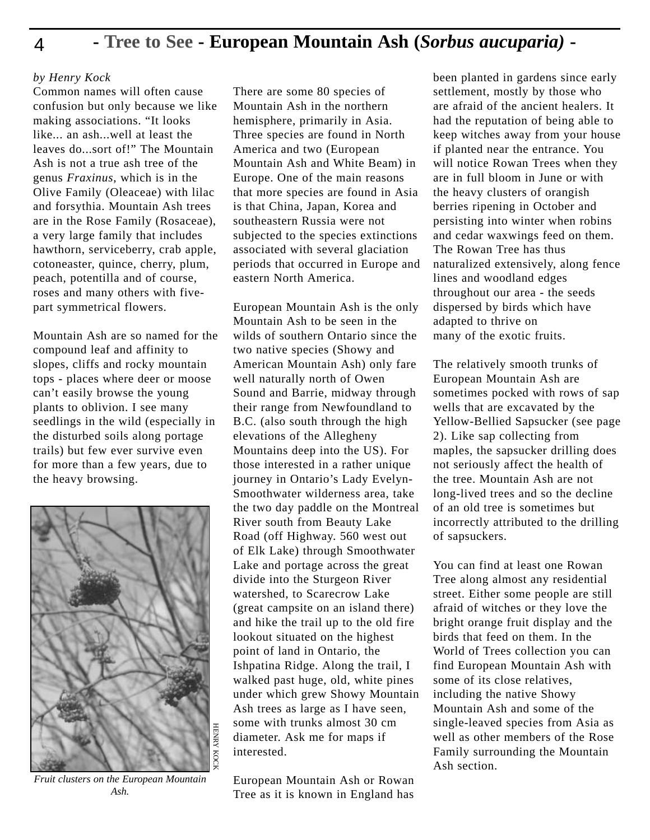### 4 **- Tree to See - European Mountain Ash (***Sorbus aucuparia)* **-**

#### *by Henry Kock*

Common names will often cause confusion but only because we like making associations. "It looks like... an ash...well at least the leaves do sort of!" The Mountain Ash is not a true ash tree of the genus *Fraxinus*, which is in the Olive Family (Oleaceae) with lilac and forsythia. Mountain Ash trees are in the Rose Family (Rosaceae), a very large family that includes hawthorn, serviceberry, crab apple, cotoneaster, quince, cherry, plum, peach, potentilla and of course, roses and many others with fivepart symmetrical flowers.

Mountain Ash are so named for the compound leaf and affinity to slopes, cliffs and rocky mountain tops - places where deer or moose can't easily browse the young plants to oblivion. I see many seedlings in the wild (especially in the disturbed soils along portage trails) but few ever survive even for more than a few years, due to the heavy browsing.



*Fruit clusters on the European Mountain Ash.*

There are some 80 species of Mountain Ash in the northern hemisphere, primarily in Asia. Three species are found in North America and two (European Mountain Ash and White Beam) in Europe. One of the main reasons that more species are found in Asia is that China, Japan, Korea and southeastern Russia were not subjected to the species extinctions associated with several glaciation periods that occurred in Europe and eastern North America.

European Mountain Ash is the only Mountain Ash to be seen in the wilds of southern Ontario since the two native species (Showy and American Mountain Ash) only fare well naturally north of Owen Sound and Barrie, midway through their range from Newfoundland to B.C. (also south through the high elevations of the Allegheny Mountains deep into the US). For those interested in a rather unique journey in Ontario's Lady Evelyn-Smoothwater wilderness area, take the two day paddle on the Montreal River south from Beauty Lake Road (off Highway. 560 west out of Elk Lake) through Smoothwater Lake and portage across the great divide into the Sturgeon River watershed, to Scarecrow Lake (great campsite on an island there) and hike the trail up to the old fire lookout situated on the highest point of land in Ontario, the Ishpatina Ridge. Along the trail, I walked past huge, old, white pines under which grew Showy Mountain Ash trees as large as I have seen, some with trunks almost 30 cm diameter. Ask me for maps if interested.

European Mountain Ash or Rowan Tree as it is known in England has

been planted in gardens since early settlement, mostly by those who are afraid of the ancient healers. It had the reputation of being able to keep witches away from your house if planted near the entrance. You will notice Rowan Trees when they are in full bloom in June or with the heavy clusters of orangish berries ripening in October and persisting into winter when robins and cedar waxwings feed on them. The Rowan Tree has thus naturalized extensively, along fence lines and woodland edges throughout our area - the seeds dispersed by birds which have adapted to thrive on many of the exotic fruits.

The relatively smooth trunks of European Mountain Ash are sometimes pocked with rows of sap wells that are excavated by the Yellow-Bellied Sapsucker (see page 2). Like sap collecting from maples, the sapsucker drilling does not seriously affect the health of the tree. Mountain Ash are not long-lived trees and so the decline of an old tree is sometimes but incorrectly attributed to the drilling of sapsuckers.

You can find at least one Rowan Tree along almost any residential street. Either some people are still afraid of witches or they love the bright orange fruit display and the birds that feed on them. In the World of Trees collection you can find European Mountain Ash with some of its close relatives, including the native Showy Mountain Ash and some of the single-leaved species from Asia as well as other members of the Rose Family surrounding the Mountain Ash section.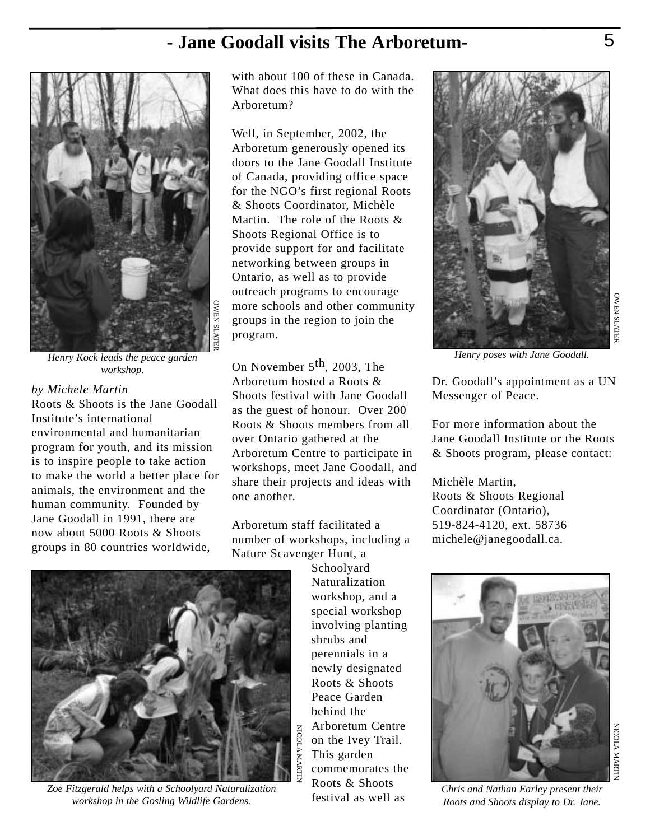### **- Jane Goodall visits The Arboretum-**



*Henry Kock leads the peace garden workshop.*

*by Michele Martin* Roots & Shoots is the Jane Goodall Institute's international environmental and humanitarian program for youth, and its mission is to inspire people to take action to make the world a better place for animals, the environment and the human community. Founded by Jane Goodall in 1991, there are now about 5000 Roots & Shoots groups in 80 countries worldwide,

with about 100 of these in Canada. What does this have to do with the Arboretum?

Well, in September, 2002, the Arboretum generously opened its doors to the Jane Goodall Institute of Canada, providing office space for the NGO's first regional Roots & Shoots Coordinator, Michèle Martin. The role of the Roots & Shoots Regional Office is to provide support for and facilitate networking between groups in Ontario, as well as to provide outreach programs to encourage more schools and other community groups in the region to join the program.

On November 5<sup>th</sup>, 2003, The Arboretum hosted a Roots & Shoots festival with Jane Goodall as the guest of honour. Over 200 Roots & Shoots members from all over Ontario gathered at the Arboretum Centre to participate in workshops, meet Jane Goodall, and share their projects and ideas with one another.

Arboretum staff facilitated a number of workshops, including a Nature Scavenger Hunt, a

Schoolyard Naturalization workshop, and a special workshop involving planting shrubs and perennials in a newly designated Roots & Shoots Peace Garden behind the Arboretum Centre NICOLA MARTIN NICOLAon the Ivey Trail. This garden MARTIN commemorates the Roots & Shoots festival as well as



*Henry poses with Jane Goodall.*

Dr. Goodall's appointment as a UN Messenger of Peace.

For more information about the Jane Goodall Institute or the Roots & Shoots program, please contact:

Michèle Martin, Roots & Shoots Regional Coordinator (Ontario), 519-824-4120, ext. 58736 michele@janegoodall.ca.



*Chris and Nathan Earley present their Roots and Shoots display to Dr. Jane.* 



*Zoe Fitzgerald helps with a Schoolyard Naturalization workshop in the Gosling Wildlife Gardens.*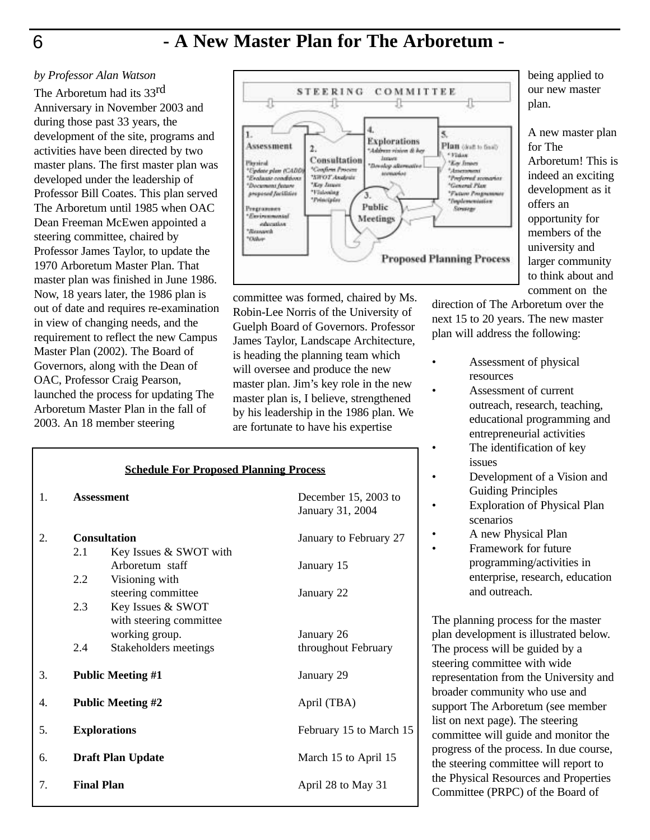### **- A New Master Plan for The Arboretum -**

#### *by Professor Alan Watson*

The Arboretum had its 33rd Anniversary in November 2003 and during those past 33 years, the development of the site, programs and activities have been directed by two master plans. The first master plan was developed under the leadership of Professor Bill Coates. This plan served The Arboretum until 1985 when OAC Dean Freeman McEwen appointed a steering committee, chaired by Professor James Taylor, to update the 1970 Arboretum Master Plan. That master plan was finished in June 1986. Now, 18 years later, the 1986 plan is out of date and requires re-examination in view of changing needs, and the requirement to reflect the new Campus Master Plan (2002). The Board of Governors, along with the Dean of OAC, Professor Craig Pearson, launched the process for updating The Arboretum Master Plan in the fall of 2003. An 18 member steering



committee was formed, chaired by Ms. Robin-Lee Norris of the University of Guelph Board of Governors. Professor James Taylor, Landscape Architecture, is heading the planning team which will oversee and produce the new master plan. Jim's key role in the new master plan is, I believe, strengthened by his leadership in the 1986 plan. We are fortunate to have his expertise

| <b>Schedule For Proposed Planning Process</b> |                          |                                                                |                                          |  |  |  |
|-----------------------------------------------|--------------------------|----------------------------------------------------------------|------------------------------------------|--|--|--|
| $\mathbf{1}$ .                                | <b>Assessment</b>        |                                                                | December 15, 2003 to<br>January 31, 2004 |  |  |  |
| 2.                                            |                          | <b>Consultation</b>                                            | January to February 27                   |  |  |  |
|                                               | 2.1<br>2.2               | Key Issues & SWOT with<br>Arboretum staff                      | January 15                               |  |  |  |
|                                               |                          | Visioning with<br>steering committee                           | January 22                               |  |  |  |
|                                               | 2.3                      | Key Issues & SWOT<br>with steering committee<br>working group. | January 26                               |  |  |  |
|                                               | 2.4                      | Stakeholders meetings                                          | throughout February                      |  |  |  |
| 3.                                            | <b>Public Meeting #1</b> |                                                                | January 29                               |  |  |  |
| 4.                                            | <b>Public Meeting #2</b> |                                                                | April (TBA)                              |  |  |  |
| 5.                                            | <b>Explorations</b>      |                                                                | February 15 to March 15                  |  |  |  |
| 6.                                            | <b>Draft Plan Update</b> |                                                                | March 15 to April 15                     |  |  |  |
| <b>Final Plan</b><br>7.                       |                          |                                                                | April 28 to May 31                       |  |  |  |

being applied to our new master plan.

A new master plan for The Arboretum! This is indeed an exciting development as it offers an opportunity for members of the university and larger community to think about and comment on the

direction of The Arboretum over the next 15 to 20 years. The new master plan will address the following:

- Assessment of physical resources
	- Assessment of current outreach, research, teaching, educational programming and entrepreneurial activities
	- The identification of key issues
- Development of a Vision and Guiding Principles
- **Exploration of Physical Plan** scenarios
- A new Physical Plan
- Framework for future programming/activities in enterprise, research, education and outreach.

The planning process for the master plan development is illustrated below. The process will be guided by a steering committee with wide representation from the University and broader community who use and support The Arboretum (see member list on next page). The steering committee will guide and monitor the progress of the process. In due course, the steering committee will report to the Physical Resources and Properties Committee (PRPC) of the Board of

6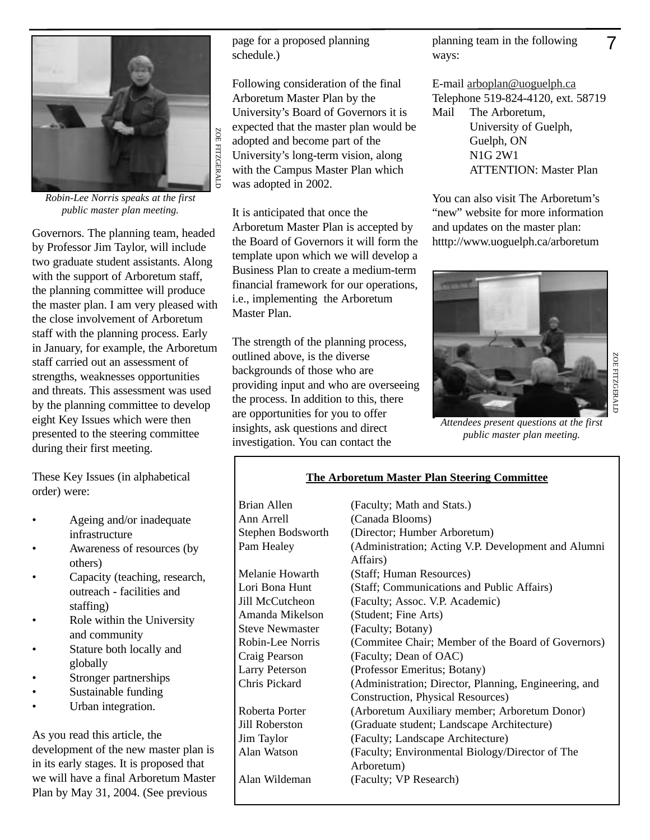

*Robin-Lee Norris speaks at the first public master plan meeting.*

Governors. The planning team, headed by Professor Jim Taylor, will include two graduate student assistants. Along with the support of Arboretum staff, the planning committee will produce the master plan. I am very pleased with the close involvement of Arboretum staff with the planning process. Early in January, for example, the Arboretum staff carried out an assessment of strengths, weaknesses opportunities and threats. This assessment was used by the planning committee to develop eight Key Issues which were then presented to the steering committee during their first meeting.

These Key Issues (in alphabetical order) were:

- Ageing and/or inadequate infrastructure
- Awareness of resources (by others)
- Capacity (teaching, research, outreach - facilities and staffing)
- Role within the University and community
- Stature both locally and globally
- Stronger partnerships
- Sustainable funding
- Urban integration.

As you read this article, the development of the new master plan is in its early stages. It is proposed that we will have a final Arboretum Master Plan by May 31, 2004. (See previous

page for a proposed planning schedule.)

Following consideration of the final Arboretum Master Plan by the University's Board of Governors it is expected that the master plan would be adopted and become part of the University's long-term vision, along with the Campus Master Plan which was adopted in 2002.

It is anticipated that once the Arboretum Master Plan is accepted by the Board of Governors it will form the template upon which we will develop a Business Plan to create a medium-term financial framework for our operations, i.e., implementing the Arboretum Master Plan.

The strength of the planning process, outlined above, is the diverse backgrounds of those who are providing input and who are overseeing the process. In addition to this, there are opportunities for you to offer insights, ask questions and direct investigation. You can contact the

planning team in the following ways:

E-mail arboplan@uoguelph.ca Telephone 519-824-4120, ext. 58719 Mail The Arboretum, University of Guelph, Guelph, ON N1G 2W1 ATTENTION: Master Plan

You can also visit The Arboretum's "new" website for more information and updates on the master plan: htttp://www.uoguelph.ca/arboretum



*Attendees present questions at the first public master plan meeting.*

#### **The Arboretum Master Plan Steering Committee**

| Brian Allen            | (Faculty; Math and Stats.)                                      |
|------------------------|-----------------------------------------------------------------|
| Ann Arrell             | (Canada Blooms)                                                 |
| Stephen Bodsworth      | (Director; Humber Arboretum)                                    |
| Pam Healey             | (Administration; Acting V.P. Development and Alumni<br>Affairs) |
| Melanie Howarth        | (Staff; Human Resources)                                        |
| Lori Bona Hunt         | (Staff; Communications and Public Affairs)                      |
| Jill McCutcheon        | (Faculty; Assoc. V.P. Academic)                                 |
| Amanda Mikelson        | (Student; Fine Arts)                                            |
| <b>Steve Newmaster</b> | (Faculty; Botany)                                               |
| Robin-Lee Norris       | (Commitee Chair; Member of the Board of Governors)              |
| Craig Pearson          | (Faculty; Dean of OAC)                                          |
| <b>Larry Peterson</b>  | (Professor Emeritus; Botany)                                    |
| Chris Pickard          | (Administration; Director, Planning, Engineering, and           |
|                        | Construction, Physical Resources)                               |
| Roberta Porter         | (Arboretum Auxiliary member; Arboretum Donor)                   |
| Jill Roberston         | (Graduate student; Landscape Architecture)                      |
| Jim Taylor             | (Faculty; Landscape Architecture)                               |
| Alan Watson            | (Faculty; Environmental Biology/Director of The                 |
|                        | Arboretum)                                                      |
| Alan Wildeman          | (Faculty; VP Research)                                          |

7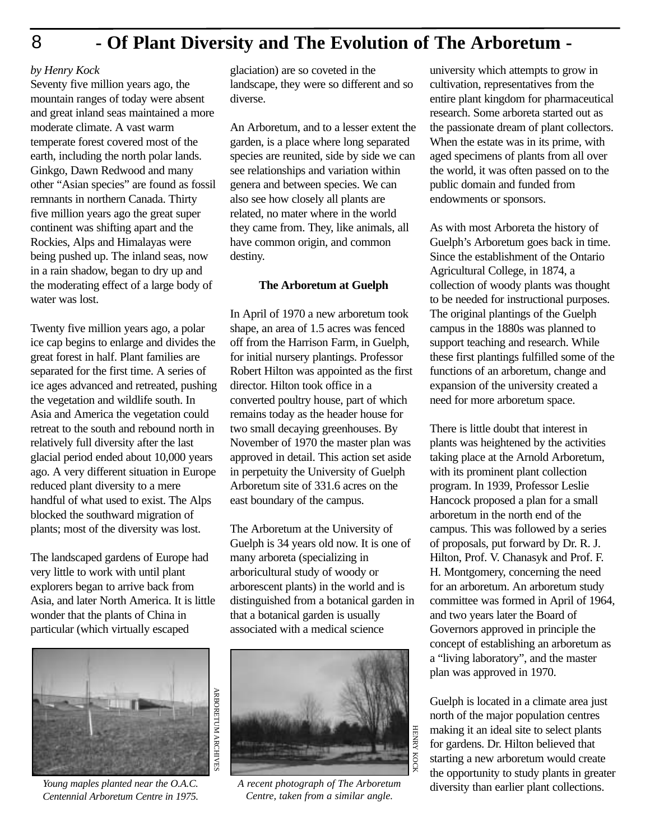### **- Of Plant Diversity and The Evolution of The Arboretum -**

#### *by Henry Kock*

8

Seventy five million years ago, the mountain ranges of today were absent and great inland seas maintained a more moderate climate. A vast warm temperate forest covered most of the earth, including the north polar lands. Ginkgo, Dawn Redwood and many other "Asian species" are found as fossil remnants in northern Canada. Thirty five million years ago the great super continent was shifting apart and the Rockies, Alps and Himalayas were being pushed up. The inland seas, now in a rain shadow, began to dry up and the moderating effect of a large body of water was lost.

Twenty five million years ago, a polar ice cap begins to enlarge and divides the great forest in half. Plant families are separated for the first time. A series of ice ages advanced and retreated, pushing the vegetation and wildlife south. In Asia and America the vegetation could retreat to the south and rebound north in relatively full diversity after the last glacial period ended about 10,000 years ago. A very different situation in Europe reduced plant diversity to a mere handful of what used to exist. The Alps blocked the southward migration of plants; most of the diversity was lost.

The landscaped gardens of Europe had very little to work with until plant explorers began to arrive back from Asia, and later North America. It is little wonder that the plants of China in particular (which virtually escaped



*Young maples planted near the O.A.C. Centennial Arboretum Centre in 1975.*

glaciation) are so coveted in the landscape, they were so different and so diverse.

An Arboretum, and to a lesser extent the garden, is a place where long separated species are reunited, side by side we can see relationships and variation within genera and between species. We can also see how closely all plants are related, no mater where in the world they came from. They, like animals, all have common origin, and common destiny.

#### **The Arboretum at Guelph**

In April of 1970 a new arboretum took shape, an area of 1.5 acres was fenced off from the Harrison Farm, in Guelph, for initial nursery plantings. Professor Robert Hilton was appointed as the first director. Hilton took office in a converted poultry house, part of which remains today as the header house for two small decaying greenhouses. By November of 1970 the master plan was approved in detail. This action set aside in perpetuity the University of Guelph Arboretum site of 331.6 acres on the east boundary of the campus.

The Arboretum at the University of Guelph is 34 years old now. It is one of many arboreta (specializing in arboricultural study of woody or arborescent plants) in the world and is distinguished from a botanical garden in that a botanical garden is usually associated with a medical science



*A recent photograph of The Arboretum Centre, taken from a similar angle.*

university which attempts to grow in cultivation, representatives from the entire plant kingdom for pharmaceutical research. Some arboreta started out as the passionate dream of plant collectors. When the estate was in its prime, with aged specimens of plants from all over the world, it was often passed on to the public domain and funded from endowments or sponsors.

As with most Arboreta the history of Guelph's Arboretum goes back in time. Since the establishment of the Ontario Agricultural College, in 1874, a collection of woody plants was thought to be needed for instructional purposes. The original plantings of the Guelph campus in the 1880s was planned to support teaching and research. While these first plantings fulfilled some of the functions of an arboretum, change and expansion of the university created a need for more arboretum space.

There is little doubt that interest in plants was heightened by the activities taking place at the Arnold Arboretum, with its prominent plant collection program. In 1939, Professor Leslie Hancock proposed a plan for a small arboretum in the north end of the campus. This was followed by a series of proposals, put forward by Dr. R. J. Hilton, Prof. V. Chanasyk and Prof. F. H. Montgomery, concerning the need for an arboretum. An arboretum study committee was formed in April of 1964, and two years later the Board of Governors approved in principle the concept of establishing an arboretum as a "living laboratory", and the master plan was approved in 1970.

Guelph is located in a climate area just north of the major population centres making it an ideal site to select plants for gardens. Dr. Hilton believed that starting a new arboretum would create the opportunity to study plants in greater diversity than earlier plant collections.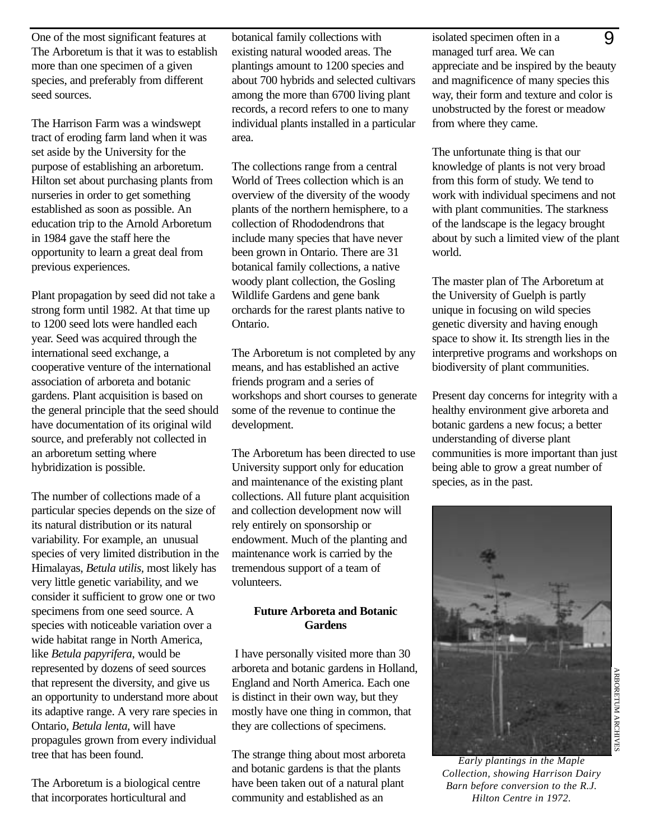One of the most significant features at The Arboretum is that it was to establish more than one specimen of a given species, and preferably from different seed sources.

The Harrison Farm was a windswept tract of eroding farm land when it was set aside by the University for the purpose of establishing an arboretum. Hilton set about purchasing plants from nurseries in order to get something established as soon as possible. An education trip to the Arnold Arboretum in 1984 gave the staff here the opportunity to learn a great deal from previous experiences.

Plant propagation by seed did not take a strong form until 1982. At that time up to 1200 seed lots were handled each year. Seed was acquired through the international seed exchange, a cooperative venture of the international association of arboreta and botanic gardens. Plant acquisition is based on the general principle that the seed should have documentation of its original wild source, and preferably not collected in an arboretum setting where hybridization is possible.

The number of collections made of a particular species depends on the size of its natural distribution or its natural variability. For example, an unusual species of very limited distribution in the Himalayas, *Betula utilis,* most likely has very little genetic variability, and we consider it sufficient to grow one or two specimens from one seed source. A species with noticeable variation over a wide habitat range in North America, like *Betula papyrifera*, would be represented by dozens of seed sources that represent the diversity, and give us an opportunity to understand more about its adaptive range. A very rare species in Ontario, *Betula lenta*, will have propagules grown from every individual tree that has been found.

The Arboretum is a biological centre that incorporates horticultural and

botanical family collections with existing natural wooded areas. The plantings amount to 1200 species and about 700 hybrids and selected cultivars among the more than 6700 living plant records, a record refers to one to many individual plants installed in a particular area.

The collections range from a central World of Trees collection which is an overview of the diversity of the woody plants of the northern hemisphere, to a collection of Rhododendrons that include many species that have never been grown in Ontario. There are 31 botanical family collections, a native woody plant collection, the Gosling Wildlife Gardens and gene bank orchards for the rarest plants native to Ontario.

The Arboretum is not completed by any means, and has established an active friends program and a series of workshops and short courses to generate some of the revenue to continue the development.

The Arboretum has been directed to use University support only for education and maintenance of the existing plant collections. All future plant acquisition and collection development now will rely entirely on sponsorship or endowment. Much of the planting and maintenance work is carried by the tremendous support of a team of volunteers.

#### **Future Arboreta and Botanic Gardens**

I have personally visited more than 30 arboreta and botanic gardens in Holland, England and North America. Each one is distinct in their own way, but they mostly have one thing in common, that they are collections of specimens.

The strange thing about most arboreta and botanic gardens is that the plants have been taken out of a natural plant community and established as an

isolated specimen often in a managed turf area. We can appreciate and be inspired by the beauty and magnificence of many species this way, their form and texture and color is unobstructed by the forest or meadow from where they came. <u>g</u>

The unfortunate thing is that our knowledge of plants is not very broad from this form of study. We tend to work with individual specimens and not with plant communities. The starkness of the landscape is the legacy brought about by such a limited view of the plant world.

The master plan of The Arboretum at the University of Guelph is partly unique in focusing on wild species genetic diversity and having enough space to show it. Its strength lies in the interpretive programs and workshops on biodiversity of plant communities.

Present day concerns for integrity with a healthy environment give arboreta and botanic gardens a new focus; a better understanding of diverse plant communities is more important than just being able to grow a great number of species, as in the past.



ARBORETUM

ARCHIVES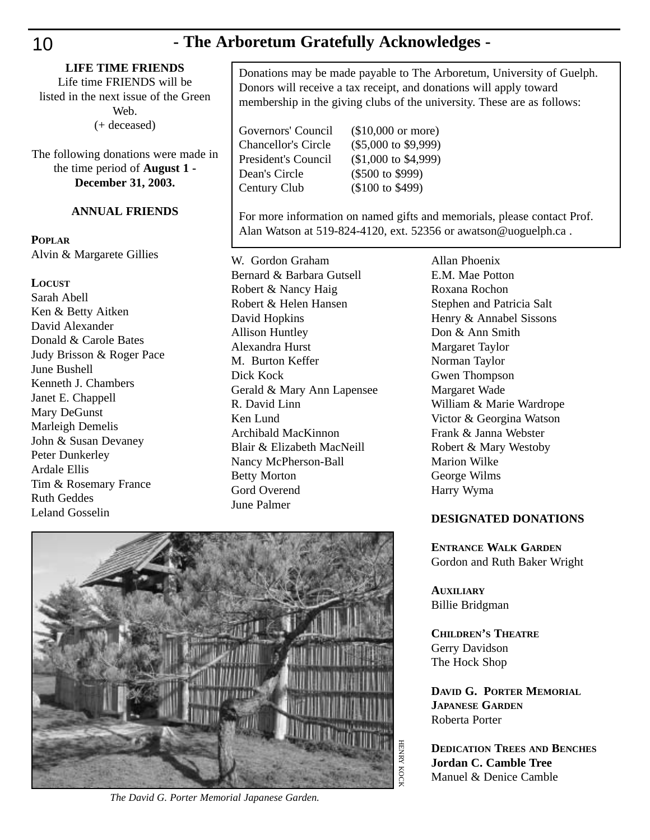### 10 **- The Arboretum Gratefully Acknowledges -**

Life time FRIENDS will be listed in the next issue of the Green Web. (+ deceased)

The following donations were made in the time period of **August 1 - December 31, 2003.**

### **ANNUAL FRIENDS**

#### **POPLAR**

Alvin & Margarete Gillies

#### **LOCUST**

Sarah Abell Ken & Betty Aitken David Alexander Donald & Carole Bates Judy Brisson & Roger Pace June Bushell Kenneth J. Chambers Janet E. Chappell Mary DeGunst Marleigh Demelis John & Susan Devaney Peter Dunkerley Ardale Ellis Tim & Rosemary France Ruth Geddes Leland Gosselin

Donations may be made payable to The Arboretum, University of Guelph. Donors will receive a tax receipt, and donations will apply toward membership in the giving clubs of the university. These are as follows:

Dean's Circle (\$500 to \$999) Century Club (\$100 to \$499)

Governors' Council (\$10,000 or more) Chancellor's Circle (\$5,000 to \$9,999) President's Council (\$1,000 to \$4,999)

For more information on named gifts and memorials, please contact Prof. Alan Watson at 519-824-4120, ext. 52356 or awatson@uoguelph.ca .

W. Gordon Graham Bernard & Barbara Gutsell Robert & Nancy Haig Robert & Helen Hansen David Hopkins Allison Huntley Alexandra Hurst M. Burton Keffer Dick Kock Gerald & Mary Ann Lapensee R. David Linn Ken Lund Archibald MacKinnon Blair & Elizabeth MacNeill Nancy McPherson-Ball Betty Morton Gord Overend June Palmer



*The David G. Porter Memorial Japanese Garden.*

Allan Phoenix E.M. Mae Potton Roxana Rochon Stephen and Patricia Salt Henry & Annabel Sissons Don & Ann Smith Margaret Taylor Norman Taylor Gwen Thompson Margaret Wade William & Marie Wardrope Victor & Georgina Watson Frank & Janna Webster Robert & Mary Westoby Marion Wilke George Wilms Harry Wyma

#### **DESIGNATED DONATIONS**

**ENTRANCE WALK GARDEN** Gordon and Ruth Baker Wright

**AUXILIARY** Billie Bridgman

**CHILDREN'S THEATRE** Gerry Davidson The Hock Shop

**DAVID G. PORTER MEMORIAL JAPANESE GARDEN** Roberta Porter

**DEDICATION TREES AND BENCHES Jordan C. Camble Tree** Manuel & Denice Camble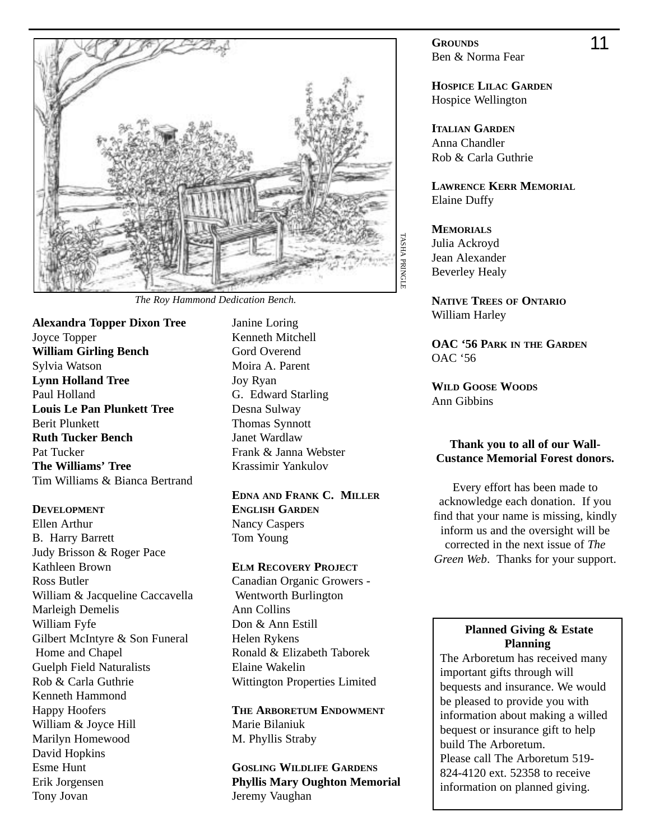

*The Roy Hammond Dedication Bench.*

**Alexandra Topper Dixon Tree** Joyce Topper **William Girling Bench** Sylvia Watson **Lynn Holland Tree** Paul Holland **Louis Le Pan Plunkett Tree** Berit Plunkett **Ruth Tucker Bench** Pat Tucker **The Williams' Tree** Tim Williams & Bianca Bertrand

#### **DEVELOPMENT**

- Ellen Arthur B. Harry Barrett Judy Brisson & Roger Pace Kathleen Brown Ross Butler William & Jacqueline Caccavella Marleigh Demelis William Fyfe Gilbert McIntyre & Son Funeral Home and Chapel Guelph Field Naturalists Rob & Carla Guthrie Kenneth Hammond Happy Hoofers William & Joyce Hill Marilyn Homewood David Hopkins Esme Hunt Erik Jorgensen Tony Jovan
- Janine Loring Kenneth Mitchell Gord Overend Moira A. Parent Joy Ryan G. Edward Starling Desna Sulway Thomas Synnott Janet Wardlaw Frank & Janna Webster Krassimir Yankulov

**EDNA AND FRANK C. MILLER ENGLISH GARDEN** Nancy Caspers Tom Young

#### **ELM RECOVERY PROJECT**

Canadian Organic Growers - Wentworth Burlington Ann Collins Don & Ann Estill Helen Rykens Ronald & Elizabeth Taborek Elaine Wakelin Wittington Properties Limited

**THE ARBORETUM ENDOWMENT** Marie Bilaniuk M. Phyllis Straby

**GOSLING WILDLIFE GARDENS Phyllis Mary Oughton Memorial** Jeremy Vaughan

**GROUNDS** Ben & Norma Fear

**HOSPICE LILAC GARDEN** Hospice Wellington

**ITALIAN GARDEN** Anna Chandler Rob & Carla Guthrie

**LAWRENCE KERR MEMORIAL** Elaine Duffy

**MEMORIALS** Julia Ackroyd Jean Alexander Beverley Healy

**NATIVE TREES OF ONTARIO** William Harley

**OAC '56 PARK IN THE GARDEN** OAC '56

**WILD GOOSE WOODS** Ann Gibbins

#### **Thank you to all of our Wall-Custance Memorial Forest donors.**

Every effort has been made to acknowledge each donation. If you find that your name is missing, kindly inform us and the oversight will be corrected in the next issue of *The Green Web*. Thanks for your support.

#### **Planned Giving & Estate Planning**

The Arboretum has received many important gifts through will bequests and insurance. We would be pleased to provide you with information about making a willed bequest or insurance gift to help build The Arboretum. Please call The Arboretum 519- 824-4120 ext. 52358 to receive information on planned giving.